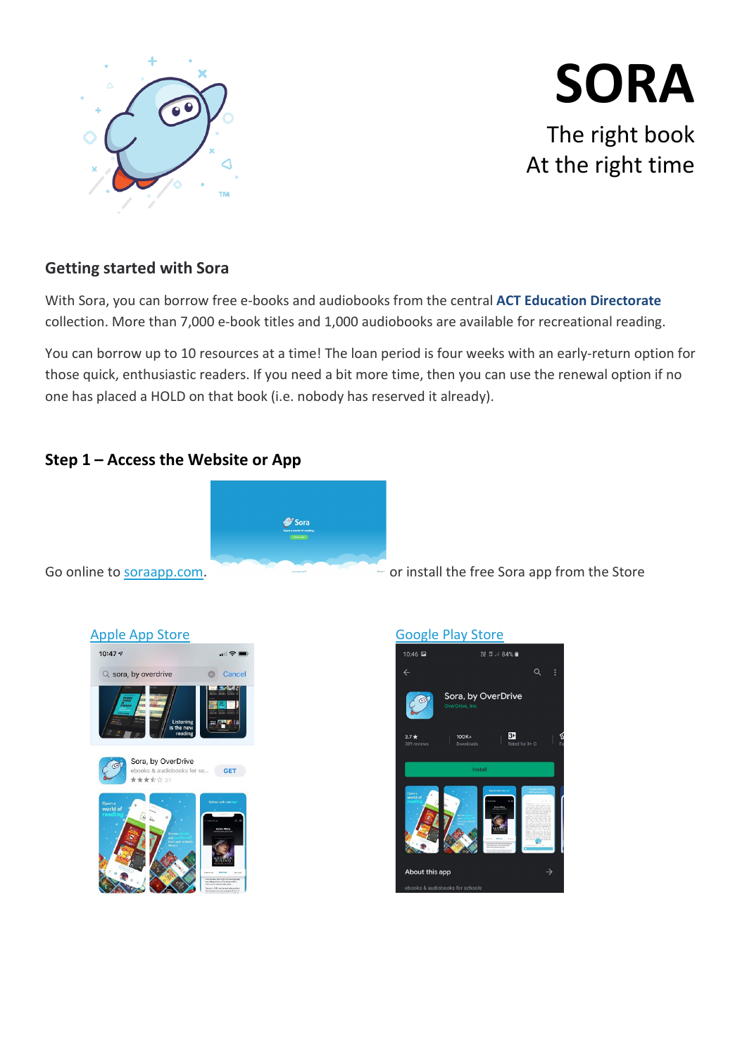

# **SORA** The right book At the right time

# **Getting started with Sora**

With Sora, you can borrow free e-books and audiobooks from the central **ACT Education Directorate** collection. More than 7,000 e-book titles and 1,000 audiobooks are available for recreational reading.

You can borrow up to 10 resources at a time! The loan period is four weeks with an early-return option for those quick, enthusiastic readers. If you need a bit more time, then you can use the renewal option if no one has placed a HOLD on that book (i.e. nobody has reserved it already).

# **Step 1 – Access the Website or App**





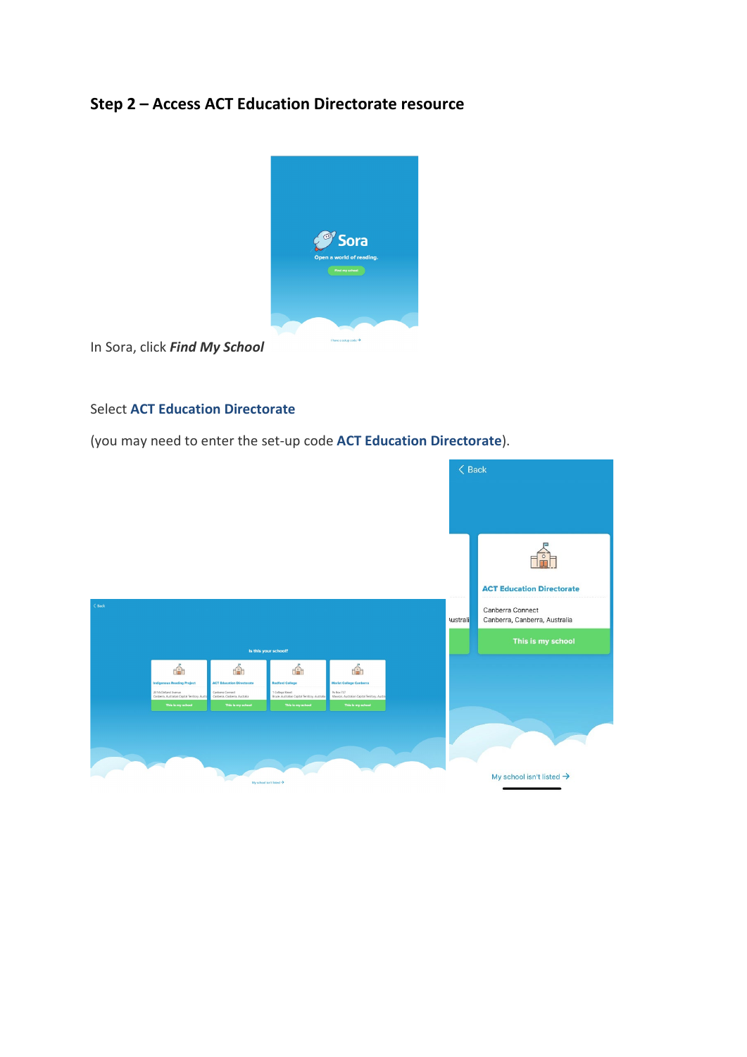# **Step 2 – Access ACT Education Directorate resource**



In Sora, click *Find My School*

### Select **ACT Education Directorate**

(you may need to enter the set-up code **ACT Education Directorate**).

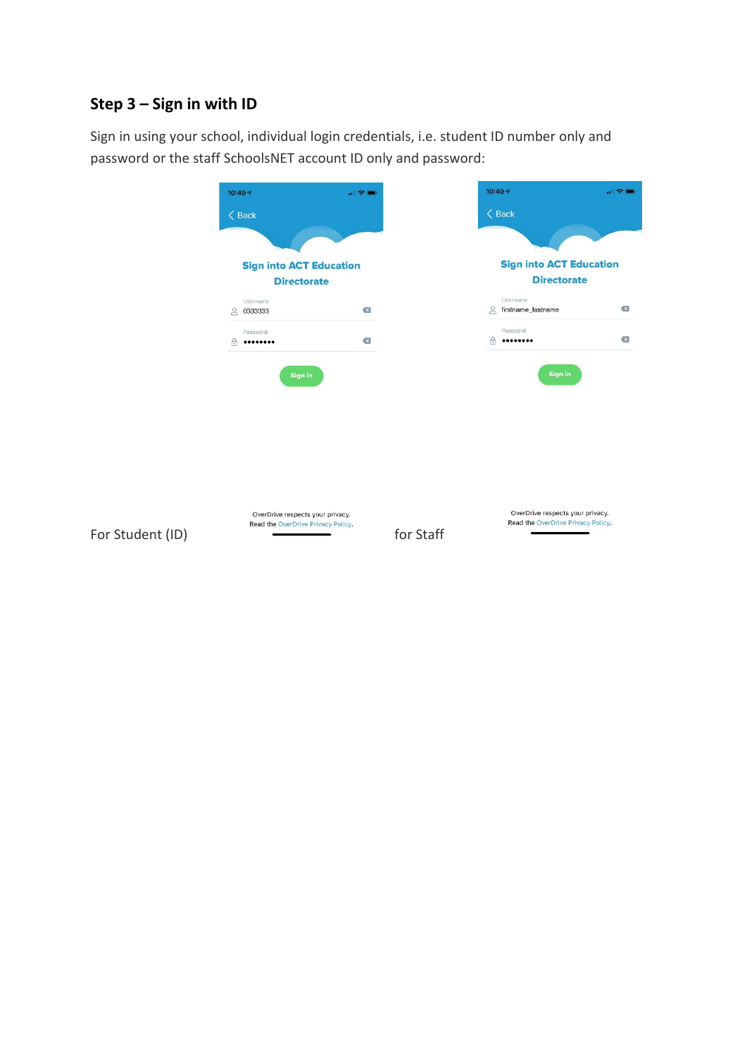# **Step 3 – Sign in with ID**

Sign in using your school, individual login credentials, i.e. student ID number only and password or the staff SchoolsNET account ID only and password: